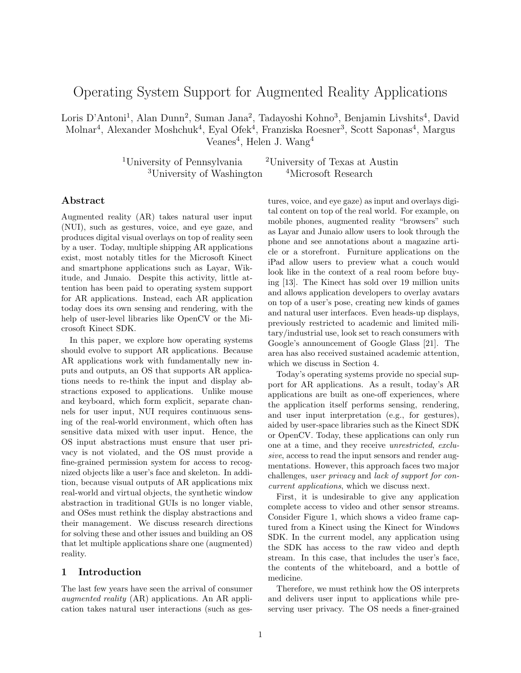# Operating System Support for Augmented Reality Applications

Loris D'Antoni<sup>1</sup>, Alan Dunn<sup>2</sup>, Suman Jana<sup>2</sup>, Tadayoshi Kohno<sup>3</sup>, Benjamin Livshits<sup>4</sup>, David Molnar<sup>4</sup>, Alexander Moshchuk<sup>4</sup>, Eyal Ofek<sup>4</sup>, Franziska Roesner<sup>3</sup>, Scott Saponas<sup>4</sup>, Margus Veanes<sup>4</sup>, Helen J. Wang<sup>4</sup>

> <sup>1</sup>University of Pennsylvania <sup>2</sup>University of Texas at Austin <sup>3</sup>University of Washington <sup>4</sup>Microsoft Research

#### Abstract

Augmented reality (AR) takes natural user input (NUI), such as gestures, voice, and eye gaze, and produces digital visual overlays on top of reality seen by a user. Today, multiple shipping AR applications exist, most notably titles for the Microsoft Kinect and smartphone applications such as Layar, Wikitude, and Junaio. Despite this activity, little attention has been paid to operating system support for AR applications. Instead, each AR application today does its own sensing and rendering, with the help of user-level libraries like OpenCV or the Microsoft Kinect SDK.

In this paper, we explore how operating systems should evolve to support AR applications. Because AR applications work with fundamentally new inputs and outputs, an OS that supports AR applications needs to re-think the input and display abstractions exposed to applications. Unlike mouse and keyboard, which form explicit, separate channels for user input, NUI requires continuous sensing of the real-world environment, which often has sensitive data mixed with user input. Hence, the OS input abstractions must ensure that user privacy is not violated, and the OS must provide a fine-grained permission system for access to recognized objects like a user's face and skeleton. In addition, because visual outputs of AR applications mix real-world and virtual objects, the synthetic window abstraction in traditional GUIs is no longer viable, and OSes must rethink the display abstractions and their management. We discuss research directions for solving these and other issues and building an OS that let multiple applications share one (augmented) reality.

## 1 Introduction

The last few years have seen the arrival of consumer augmented reality (AR) applications. An AR application takes natural user interactions (such as gestures, voice, and eye gaze) as input and overlays digital content on top of the real world. For example, on mobile phones, augmented reality "browsers" such as Layar and Junaio allow users to look through the phone and see annotations about a magazine article or a storefront. Furniture applications on the iPad allow users to preview what a couch would look like in the context of a real room before buying [13]. The Kinect has sold over 19 million units and allows application developers to overlay avatars on top of a user's pose, creating new kinds of games and natural user interfaces. Even heads-up displays, previously restricted to academic and limited military/industrial use, look set to reach consumers with Google's announcement of Google Glass [21]. The area has also received sustained academic attention, which we discuss in Section 4.

Today's operating systems provide no special support for AR applications. As a result, today's AR applications are built as one-off experiences, where the application itself performs sensing, rendering, and user input interpretation (e.g., for gestures), aided by user-space libraries such as the Kinect SDK or OpenCV. Today, these applications can only run one at a time, and they receive unrestricted, exclusive, access to read the input sensors and render augmentations. However, this approach faces two major challenges, user privacy and lack of support for concurrent applications, which we discuss next.

First, it is undesirable to give any application complete access to video and other sensor streams. Consider Figure 1, which shows a video frame captured from a Kinect using the Kinect for Windows SDK. In the current model, any application using the SDK has access to the raw video and depth stream. In this case, that includes the user's face, the contents of the whiteboard, and a bottle of medicine.

Therefore, we must rethink how the OS interprets and delivers user input to applications while preserving user privacy. The OS needs a finer-grained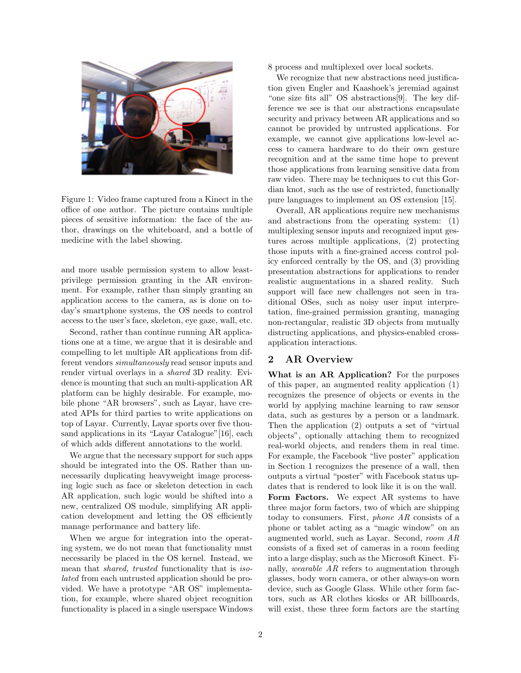

Figure 1: Video frame captured from a Kinect in the office of one author. The picture contains multiple pieces of sensitive information: the face of the author, drawings on the whiteboard, and a bottle of medicine with the label showing.

and more usable permission system to allow leastprivilege permission granting in the AR environment. For example, rather than simply granting an application access to the camera, as is done on today's smartphone systems, the OS needs to control access to the user's face, skeleton, eye gaze, wall, etc.

Second, rather than continue running AR applications one at a time, we argue that it is desirable and compelling to let multiple AR applications from different vendors simultaneously read sensor inputs and render virtual overlays in a shared 3D reality. Evidence is mounting that such an multi-application AR platform can be highly desirable. For example, mobile phone "AR browsers", such as Layar, have created APIs for third parties to write applications on top of Layar. Currently, Layar sports over five thousand applications in its "Layar Catalogue"[16], each of which adds different annotations to the world.

We argue that the necessary support for such apps should be integrated into the OS. Rather than unnecessarily duplicating heavyweight image processing logic such as face or skeleton detection in each AR application, such logic would be shifted into a new, centralized OS module, simplifying AR application development and letting the OS efficiently manage performance and battery life.

When we argue for integration into the operating system, we do not mean that functionality must necessarily be placed in the OS kernel. Instead, we mean that shared, trusted functionality that is isolated from each untrusted application should be provided. We have a prototype "AR OS" implementation, for example, where shared object recognition functionality is placed in a single userspace Windows 8 process and multiplexed over local sockets.

We recognize that new abstractions need justification given Engler and Kaashoek's jeremiad against "one size fits all" OS abstractions[9]. The key difference we see is that our abstractions encapsulate security and privacy between AR applications and so cannot be provided by untrusted applications. For example, we cannot give applications low-level access to camera hardware to do their own gesture recognition and at the same time hope to prevent those applications from learning sensitive data from raw video. There may be techniques to cut this Gordian knot, such as the use of restricted, functionally pure languages to implement an OS extension [15].

Overall, AR applications require new mechanisms and abstractions from the operating system: (1) multiplexing sensor inputs and recognized input gestures across multiple applications, (2) protecting those inputs with a fine-grained access control policy enforced centrally by the OS, and (3) providing presentation abstractions for applications to render realistic augmentations in a shared reality. Such support will face new challenges not seen in traditional OSes, such as noisy user input interpretation, fine-grained permission granting, managing non-rectangular, realistic 3D objects from mutually distructing applications, and physics-enabled crossapplication interactions.

# 2 AR Overview

What is an AR Application? For the purposes of this paper, an augmented reality application (1) recognizes the presence of objects or events in the world by applying machine learning to raw sensor data, such as gestures by a person or a landmark. Then the application (2) outputs a set of "virtual objects", optionally attaching them to recognized real-world objects, and renders them in real time. For example, the Facebook "live poster" application in Section 1 recognizes the presence of a wall, then outputs a virtual "poster" with Facebook status updates that is rendered to look like it is on the wall.

Form Factors. We expect AR systems to have three major form factors, two of which are shipping today to consumers. First, phone AR consists of a phone or tablet acting as a "magic window" on an augmented world, such as Layar. Second, room AR consists of a fixed set of cameras in a room feeding into a large display, such as the Microsoft Kinect. Finally, wearable AR refers to augmentation through glasses, body worn camera, or other always-on worn device, such as Google Glass. While other form factors, such as AR clothes kiosks or AR billboards, will exist, these three form factors are the starting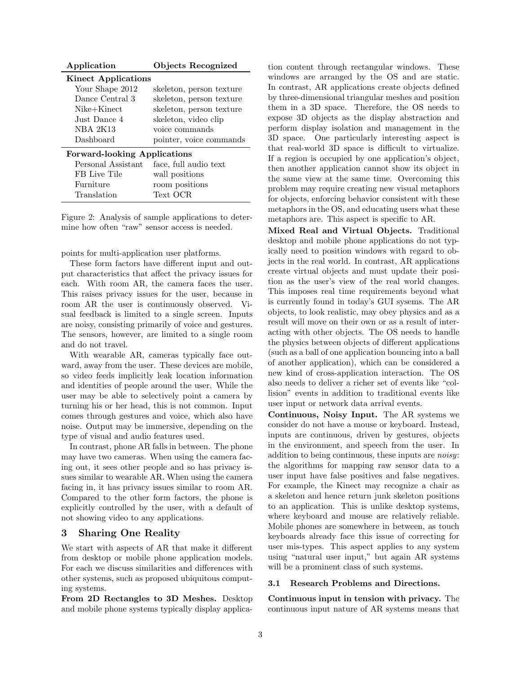| Application                         | Objects Recognized       |
|-------------------------------------|--------------------------|
| <b>Kinect Applications</b>          |                          |
| Your Shape 2012                     | skeleton, person texture |
| Dance Central 3                     | skeleton, person texture |
| $Nike+Kinect$                       | skeleton, person texture |
| Just Dance 4                        | skeleton, video clip     |
| <b>NBA 2K13</b>                     | voice commands           |
| Dashboard                           | pointer, voice commands  |
| <b>Forward-looking Applications</b> |                          |
| Personal Assistant                  | face, full audio text    |
| FB Live Tile                        | wall positions           |
| Furniture                           | room positions           |
| Translation                         | Text OCR                 |

Figure 2: Analysis of sample applications to determine how often "raw" sensor access is needed.

points for multi-application user platforms.

These form factors have different input and output characteristics that affect the privacy issues for each. With room AR, the camera faces the user. This raises privacy issues for the user, because in room AR the user is continuously observed. Visual feedback is limited to a single screen. Inputs are noisy, consisting primarily of voice and gestures. The sensors, however, are limited to a single room and do not travel.

With wearable AR, cameras typically face outward, away from the user. These devices are mobile, so video feeds implicitly leak location information and identities of people around the user. While the user may be able to selectively point a camera by turning his or her head, this is not common. Input comes through gestures and voice, which also have noise. Output may be immersive, depending on the type of visual and audio features used.

In contrast, phone AR falls in between. The phone may have two cameras. When using the camera facing out, it sees other people and so has privacy issues similar to wearable AR. When using the camera facing in, it has privacy issues similar to room AR. Compared to the other form factors, the phone is explicitly controlled by the user, with a default of not showing video to any applications.

### 3 Sharing One Reality

We start with aspects of AR that make it different from desktop or mobile phone application models. For each we discuss similarities and differences with other systems, such as proposed ubiquitous computing systems.

From 2D Rectangles to 3D Meshes. Desktop and mobile phone systems typically display application content through rectangular windows. These windows are arranged by the OS and are static. In contrast, AR applications create objects defined by three-dimensional triangular meshes and position them in a 3D space. Therefore, the OS needs to expose 3D objects as the display abstraction and perform display isolation and management in the 3D space. One particularly interesting aspect is that real-world 3D space is difficult to virtualize. If a region is occupied by one application's object, then another application cannot show its object in the same view at the same time. Overcoming this problem may require creating new visual metaphors for objects, enforcing behavior consistent with these metaphors in the OS, and educating users what these metaphors are. This aspect is specific to AR.

Mixed Real and Virtual Objects. Traditional desktop and mobile phone applications do not typically need to position windows with regard to objects in the real world. In contrast, AR applications create virtual objects and must update their position as the user's view of the real world changes. This imposes real time requirements beyond what is currently found in today's GUI sysems. The AR objects, to look realistic, may obey physics and as a result will move on their own or as a result of interacting with other objects. The OS needs to handle the physics between objects of different applications (such as a ball of one application bouncing into a ball of another application), which can be considered a new kind of cross-application interaction. The OS also needs to deliver a richer set of events like "collision" events in addition to traditional events like user input or network data arrival events.

Continuous, Noisy Input. The AR systems we consider do not have a mouse or keyboard. Instead, inputs are continuous, driven by gestures, objects in the environment, and speech from the user. In addition to being continuous, these inputs are noisy: the algorithms for mapping raw sensor data to a user input have false positives and false negatives. For example, the Kinect may recognize a chair as a skeleton and hence return junk skeleton positions to an application. This is unlike desktop systems, where keyboard and mouse are relatively reliable. Mobile phones are somewhere in between, as touch keyboards already face this issue of correcting for user mis-types. This aspect applies to any system using "natural user input," but again AR systems will be a prominent class of such systems.

#### 3.1 Research Problems and Directions.

Continuous input in tension with privacy. The continuous input nature of AR systems means that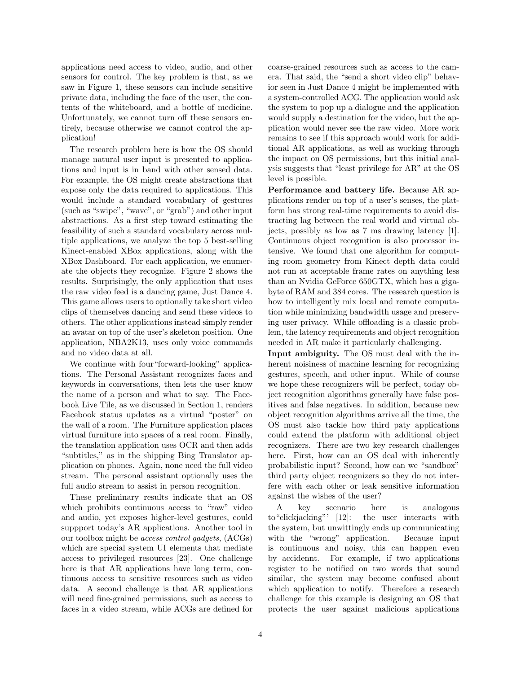applications need access to video, audio, and other sensors for control. The key problem is that, as we saw in Figure 1, these sensors can include sensitive private data, including the face of the user, the contents of the whiteboard, and a bottle of medicine. Unfortunately, we cannot turn off these sensors entirely, because otherwise we cannot control the application!

The research problem here is how the OS should manage natural user input is presented to applications and input is in band with other sensed data. For example, the OS might create abstractions that expose only the data required to applications. This would include a standard vocabulary of gestures (such as "swipe", "wave", or "grab") and other input abstractions. As a first step toward estimating the feasibility of such a standard vocabulary across multiple applications, we analyze the top 5 best-selling Kinect-enabled XBox applications, along with the XBox Dashboard. For each application, we enumerate the objects they recognize. Figure 2 shows the results. Surprisingly, the only application that uses the raw video feed is a dancing game, Just Dance 4. This game allows users to optionally take short video clips of themselves dancing and send these videos to others. The other applications instead simply render an avatar on top of the user's skeleton position. One application, NBA2K13, uses only voice commands and no video data at all.

We continue with four "forward-looking" applications. The Personal Assistant recognizes faces and keywords in conversations, then lets the user know the name of a person and what to say. The Facebook Live Tile, as we discussed in Section 1, renders Facebook status updates as a virtual "poster" on the wall of a room. The Furniture application places virtual furniture into spaces of a real room. Finally, the translation application uses OCR and then adds "subtitles," as in the shipping Bing Translator application on phones. Again, none need the full video stream. The personal assistant optionally uses the full audio stream to assist in person recognition.

These preliminary results indicate that an OS which prohibits continuous access to "raw" video and audio, yet exposes higher-level gestures, could suppport today's AR applications. Another tool in our toolbox might be access control gadgets, (ACGs) which are special system UI elements that mediate access to privileged resources [23]. One challenge here is that AR applications have long term, continuous access to sensitive resources such as video data. A second challenge is that AR applications will need fine-grained permissions, such as access to faces in a video stream, while ACGs are defined for

coarse-grained resources such as access to the camera. That said, the "send a short video clip" behavior seen in Just Dance 4 might be implemented with a system-controlled ACG. The application would ask the system to pop up a dialogue and the application would supply a destination for the video, but the application would never see the raw video. More work remains to see if this approach would work for additional AR applications, as well as working through the impact on OS permissions, but this initial analysis suggests that "least privilege for AR" at the OS level is possible.

Performance and battery life. Because AR applications render on top of a user's senses, the platform has strong real-time requirements to avoid distracting lag between the real world and virtual objects, possibly as low as 7 ms drawing latency [1]. Continuous object recognition is also processor intensive. We found that one algorithm for computing room geometry from Kinect depth data could not run at acceptable frame rates on anything less than an Nvidia GeForce 650GTX, which has a gigabyte of RAM and 384 cores. The research question is how to intelligently mix local and remote computation while minimizing bandwidth usage and preserving user privacy. While offloading is a classic problem, the latency requirements and object recognition needed in AR make it particularly challenging.

Input ambiguity. The OS must deal with the inherent noisiness of machine learning for recognizing gestures, speech, and other input. While of course we hope these recognizers will be perfect, today object recognition algorithms generally have false positives and false negatives. In addition, because new object recognition algorithms arrive all the time, the OS must also tackle how third paty applications could extend the platform with additional object recognizers. There are two key research challenges here. First, how can an OS deal with inherently probabilistic input? Second, how can we "sandbox" third party object recognizers so they do not interfere with each other or leak sensitive information against the wishes of the user?

A key scenario here is analogous to"clickjacking"' [12]: the user interacts with the system, but unwittingly ends up communicating with the "wrong" application. Because input is continuous and noisy, this can happen even by accidennt. For example, if two applications register to be notified on two words that sound similar, the system may become confused about which application to notify. Therefore a research challenge for this example is designing an OS that protects the user against malicious applications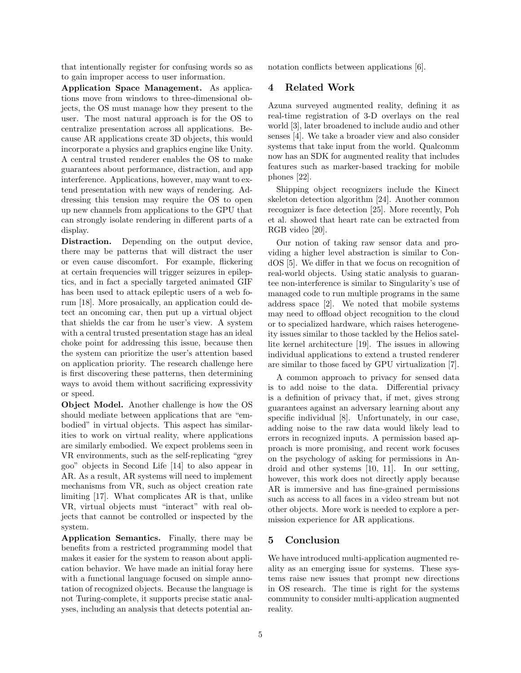that intentionally register for confusing words so as to gain improper access to user information.

Application Space Management. As applications move from windows to three-dimensional objects, the OS must manage how they present to the user. The most natural approach is for the OS to centralize presentation across all applications. Because AR applications create 3D objects, this would incorporate a physics and graphics engine like Unity. A central trusted renderer enables the OS to make guarantees about performance, distraction, and app interference. Applications, however, may want to extend presentation with new ways of rendering. Addressing this tension may require the OS to open up new channels from applications to the GPU that can strongly isolate rendering in different parts of a display.

Distraction. Depending on the output device, there may be patterns that will distract the user or even cause discomfort. For example, flickering at certain frequencies will trigger seizures in epileptics, and in fact a specially targeted animated GIF has been used to attack epileptic users of a web forum [18]. More prosaically, an application could detect an oncoming car, then put up a virtual object that shields the car from he user's view. A system with a central trusted presentation stage has an ideal choke point for addressing this issue, because then the system can prioritize the user's attention based on application priority. The research challenge here is first discovering these patterns, then determining ways to avoid them without sacrificing expressivity or speed.

Object Model. Another challenge is how the OS should mediate between applications that are "embodied" in virtual objects. This aspect has similarities to work on virtual reality, where applications are similarly embodied. We expect problems seen in VR environments, such as the self-replicating "grey goo" objects in Second Life [14] to also appear in AR. As a result, AR systems will need to implement mechanisms from VR, such as object creation rate limiting [17]. What complicates AR is that, unlike VR, virtual objects must "interact" with real objects that cannot be controlled or inspected by the system.

Application Semantics. Finally, there may be benefits from a restricted programming model that makes it easier for the system to reason about application behavior. We have made an initial foray here with a functional language focused on simple annotation of recognized objects. Because the language is not Turing-complete, it supports precise static analyses, including an analysis that detects potential annotation conflicts between applications [6].

## 4 Related Work

Azuna surveyed augmented reality, defining it as real-time registration of 3-D overlays on the real world [3], later broadened to include audio and other senses [4]. We take a broader view and also consider systems that take input from the world. Qualcomm now has an SDK for augmented reality that includes features such as marker-based tracking for mobile phones [22].

Shipping object recognizers include the Kinect skeleton detection algorithm [24]. Another common recognizer is face detection [25]. More recently, Poh et al. showed that heart rate can be extracted from RGB video [20].

Our notion of taking raw sensor data and providing a higher level abstraction is similar to CondOS [5]. We differ in that we focus on recognition of real-world objects. Using static analysis to guarantee non-interference is similar to Singularity's use of managed code to run multiple programs in the same address space [2]. We noted that mobile systems may need to offload object recognition to the cloud or to specialized hardware, which raises heterogeneity issues similar to those tackled by the Helios satellite kernel architecture [19]. The issues in allowing individual applications to extend a trusted renderer are similar to those faced by GPU virtualization [7].

A common approach to privacy for sensed data is to add noise to the data. Differential privacy is a definition of privacy that, if met, gives strong guarantees against an adversary learning about any specific individual [8]. Unfortunately, in our case, adding noise to the raw data would likely lead to errors in recognized inputs. A permission based approach is more promising, and recent work focuses on the psychology of asking for permissions in Android and other systems [10, 11]. In our setting, however, this work does not directly apply because AR is immersive and has fine-grained permissions such as access to all faces in a video stream but not other objects. More work is needed to explore a permission experience for AR applications.

## 5 Conclusion

We have introduced multi-application augmented reality as an emerging issue for systems. These systems raise new issues that prompt new directions in OS research. The time is right for the systems community to consider multi-application augmented reality.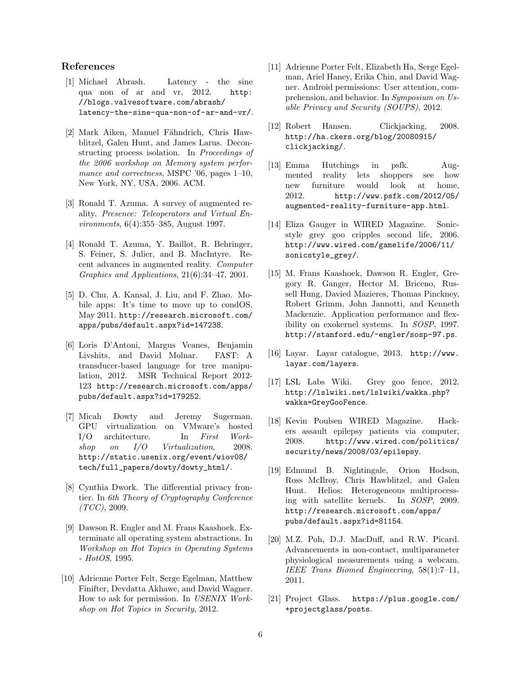#### References

- [1] Michael Abrash. Latency the sine qua non of ar and vr, 2012. http: //blogs.valvesoftware.com/abrash/ latency-the-sine-qua-non-of-ar-and-vr/.
- [2] Mark Aiken, Manuel Fähndrich, Chris Hawblitzel, Galen Hunt, and James Larus. Deconstructing process isolation. In Proceedings of the 2006 workshop on Memory system performance and correctness, MSPC '06, pages 1–10, New York, NY, USA, 2006. ACM.
- [3] Ronald T. Azuma. A survey of augmented reality. Presence: Teleoperators and Virtual Environments, 6(4):355–385, August 1997.
- [4] Ronald T. Azuma, Y. Baillot, R. Behringer, S. Feiner, S. Julier, and B. MacIntyre. Recent advances in augmented reality. Computer Graphics and Applications, 21(6):34–47, 2001.
- [5] D. Chu, A. Kansal, J. Liu, and F. Zhao. Mobile apps: It's time to move up to condOS. May 2011. http://research.microsoft.com/ apps/pubs/default.aspx?id=147238.
- [6] Loris D'Antoni, Margus Veanes, Benjamin Livshits, and David Molnar. FAST: A transducer-based language for tree manipulation, 2012. MSR Technical Report 2012- 123 http://research.microsoft.com/apps/ pubs/default.aspx?id=179252.
- [7] Micah Dowty and Jeremy Sugerman. GPU virtualization on VMware's hosted I/O architecture. In First Workshop on  $I/O$  Virtualization, 2008. http://static.usenix.org/event/wiov08/ tech/full\_papers/dowty/dowty\_html/.
- [8] Cynthia Dwork. The differential privacy frontier. In 6th Theory of Cryptography Conference  $(TCC), 2009.$
- [9] Dawson R. Engler and M. Frans Kaashoek. Exterminate all operating system abstractions. In Workshop on Hot Topics in Operating Systems - HotOS, 1995.
- [10] Adrienne Porter Felt, Serge Egelman, Matthew Finifter, Devdatta Akhawe, and David Wagner. How to ask for permission. In USENIX Workshop on Hot Topics in Security, 2012.
- [11] Adrienne Porter Felt, Elizabeth Ha, Serge Egelman, Ariel Haney, Erika Chin, and David Wagner. Android permissions: User attention, comprehension, and behavior. In Symposium on Usable Privacy and Security (SOUPS), 2012.
- [12] Robert Hansen. Clickjacking, 2008. http://ha.ckers.org/blog/20080915/ clickjacking/.
- [13] Emma Hutchings in psfk. Augmented reality lets shoppers see how new furniture would look at home, 2012. http://www.psfk.com/2012/05/ augmented-reality-furniture-app.html.
- [14] Eliza Gauger in WIRED Magazine. Sonicstyle grey goo cripples second life, 2006. http://www.wired.com/gamelife/2006/11/ sonicstyle\_grey/.
- [15] M. Frans Kaashoek, Dawson R. Engler, Gregory R. Ganger, Hector M. Briceno, Russell Hung, Davied Mazieres, Thomas Pinckney, Robert Grimm, John Jannotti, and Kenneth Mackenzie. Application performance and flexibility on exokernel systems. In SOSP, 1997. http://stanford.edu/~engler/sosp-97.ps.
- [16] Layar. Layar catalogue, 2013. http://www. layar.com/layers.
- [17] LSL Labs Wiki. Grey goo fence, 2012. http://lslwiki.net/lslwiki/wakka.php? wakka=GreyGooFence.
- [18] Kevin Poulsen WIRED Magazine. Hackers assault epilepsy patients via computer, 2008. http://www.wired.com/politics/ security/news/2008/03/epilepsy.
- [19] Edmund B. Nightingale, Orion Hodson, Ross McIlroy, Chris Hawblitzel, and Galen Hunt. Helios: Heterogeneous multiprocessing with satellite kernels. In SOSP, 2009. http://research.microsoft.com/apps/ pubs/default.aspx?id=81154.
- [20] M.Z. Poh, D.J. MacDuff, and R.W. Picard. Advancements in non-contact, multiparameter physiological measurements using a webcam. IEEE Trans Biomed Engineering, 58(1):7–11, 2011.
- [21] Project Glass. https://plus.google.com/ +projectglass/posts.